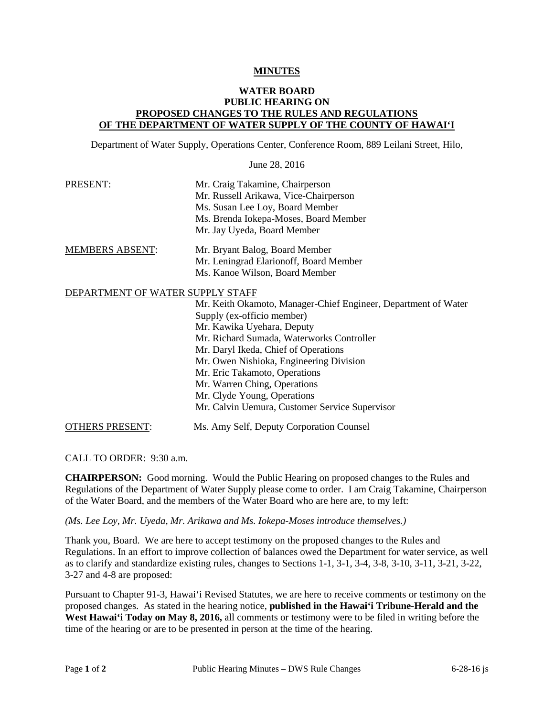## **MINUTES**

## WATER BOARD<br>PUBLIC HEARING ON<br><u>PROPOSED CHANGES TO THE RULES AND REGULATIONS</u><br>OF THE DEPARTMENT OF WATER SUPPLY OF THE COUNTY OF HAWAI'I **WATER BOARD** PUBLIC HEARING ON PROPOSED CHANGES TO THE RULES AND REGULATIONS

Department of Water Supply, Operations Center, Conference Room, 889 Leilani Street, Hilo,

June 28, 2016

| PRESENT:               | Mr. Craig Takamine, Chairperson        |
|------------------------|----------------------------------------|
|                        | Mr. Russell Arikawa, Vice-Chairperson  |
|                        | Ms. Susan Lee Loy, Board Member        |
|                        | Ms. Brenda Jokepa-Moses, Board Member  |
|                        | Mr. Jay Uyeda, Board Member            |
| <b>MEMBERS ABSENT:</b> | Mr. Bryant Balog, Board Member         |
|                        | Mr. Leningrad Elarionoff, Board Member |
|                        | Ms. Kanoe Wilson, Board Member         |

## DEPARTMENT OF WATER SUPPLY STAFF

| Mr. Keith Okamoto, Manager-Chief Engineer, Department of Water |
|----------------------------------------------------------------|
| Supply (ex-officio member)                                     |
| Mr. Kawika Uyehara, Deputy                                     |
| Mr. Richard Sumada, Waterworks Controller                      |
| Mr. Daryl Ikeda, Chief of Operations                           |
| Mr. Owen Nishioka, Engineering Division                        |
| Mr. Eric Takamoto, Operations                                  |
| Mr. Warren Ching, Operations                                   |
| Mr. Clyde Young, Operations                                    |
| Mr. Calvin Uemura, Customer Service Supervisor                 |
|                                                                |

CALL TO ORDER: 9:30 a.m.

 of the Water Board, and the members of the Water Board who are here are, to my left: **CHAIRPERSON:** Good morning. Would the Public Hearing on proposed changes to the Rules and Regulations of the Department of Water Supply please come to order. I am Craig Takamine, Chairperson

*(Ms. Lee Loy, Mr. Uyeda, Mr. Arikawa and Ms. Iokepa-Moses introduce themselves.)* 

OTHERS PRESENT: Ms. Amy Self, Deputy Corporation Counsel

 Thank you, Board. We are here to accept testimony on the proposed changes to the Rules and Regulations. In an effort to improve collection of balances owed the Department for water service, as well as to clarify and standardize existing rules, changes to Sections 1-1, 3-1, 3-4, 3-8, 3-10, 3-11, 3-21, 3-22, 3-27 and 4-8 are proposed:

Pursuant to Chapter 91-3, Hawai'i Revised Statutes, we are here to receive comments or testimony on the proposed changes. As stated in the hearing notice, **published in the Hawai'i Tribune-Herald and the**  West Hawai'i Today on May 8, 2016, all comments or testimony were to be filed in writing before the time of the hearing or are to be presented in person at the time of the hearing.